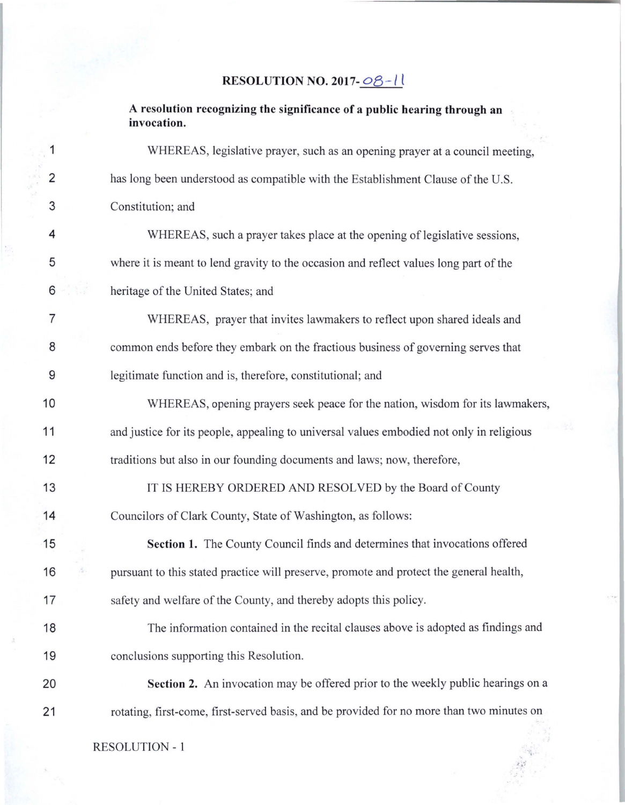## RESOLUTION NO. 2017- $\frac{08-l}{l}$

A resolution recognizing the significance of a public hearing through an invocation.

| $\mathbf{1}$   | WHEREAS, legislative prayer, such as an opening prayer at a council meeting,              |
|----------------|-------------------------------------------------------------------------------------------|
| $\overline{2}$ | has long been understood as compatible with the Establishment Clause of the U.S.          |
| 3              | Constitution; and                                                                         |
| 4              | WHEREAS, such a prayer takes place at the opening of legislative sessions,                |
| 5              | where it is meant to lend gravity to the occasion and reflect values long part of the     |
| 6              | heritage of the United States; and                                                        |
| 7              | WHEREAS, prayer that invites lawmakers to reflect upon shared ideals and                  |
| 8              | common ends before they embark on the fractious business of governing serves that         |
| 9              | legitimate function and is, therefore, constitutional; and                                |
| 10             | WHEREAS, opening prayers seek peace for the nation, wisdom for its lawmakers,             |
| 11             | and justice for its people, appealing to universal values embodied not only in religious  |
| 12             | traditions but also in our founding documents and laws; now, therefore,                   |
| 13             | IT IS HEREBY ORDERED AND RESOLVED by the Board of County                                  |
| 14             | Councilors of Clark County, State of Washington, as follows:                              |
| 15             | Section 1. The County Council finds and determines that invocations offered               |
| 16             | pursuant to this stated practice will preserve, promote and protect the general health,   |
| 17             | safety and welfare of the County, and thereby adopts this policy.                         |
| 18             | The information contained in the recital clauses above is adopted as findings and         |
| 19             | conclusions supporting this Resolution.                                                   |
| 20             | Section 2. An invocation may be offered prior to the weekly public hearings on a          |
| 21             | rotating, first-come, first-served basis, and be provided for no more than two minutes on |
|                |                                                                                           |

RESOLUTION - 1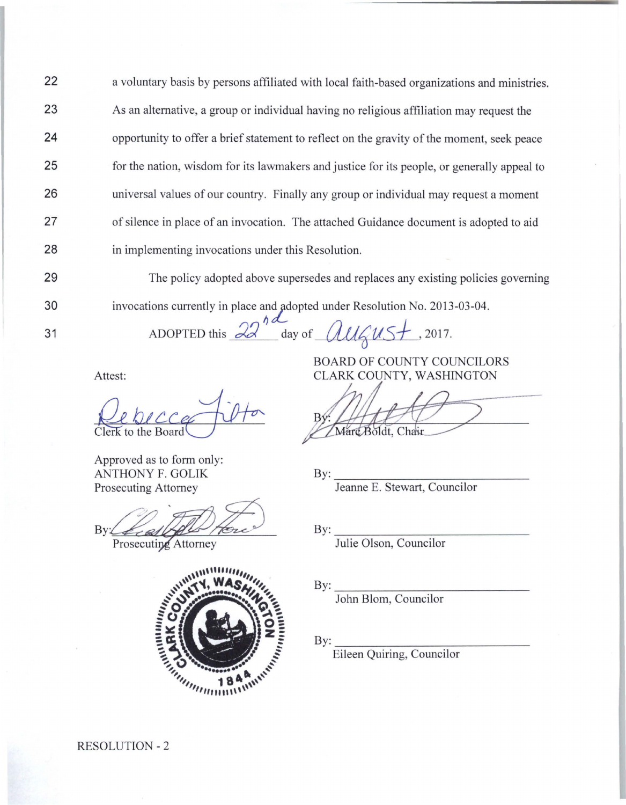22 23 24 25 26 27 28 a voluntary basis by persons affiliated with local faith-based organizations and ministries. As an alternative, a group or individual having no religious affiliation may request the opportunity to offer a brief statement to reflect on the gravity of the moment, seek peace for the nation, wisdom for its lawmakers and justice for its people, or generally appeal to universal values of our country. Finally any group or individual may request a moment of silence in place of an invocation. The attached Guidance document is adopted to aid in implementing invocations under this Resolution.

29

30

31

The policy adopted above supersedes and replaces any existing policies governing invocations currently in place and adopted under Resolution No. 2013-03-04.

ADOPTED this  $\alpha d$  day of *all*  $dN_{5}$ , 2017.

Approved as to form only: ANTHONY F. GOLIK Prosecuting Attorney

By

Prosecuting Attorney



Boldt, Chau

By:~~~~~~~~~~~~~~ Jeanne E. Stewart, Councilor

By:~~~~~~~~~~~~~~ Julie Olson, Councilor

By:~~~~~~~~~~~~~~

John Blom, Councilor

By:~~~~~~~~~~~~~~

Eileen Quiring, Councilor